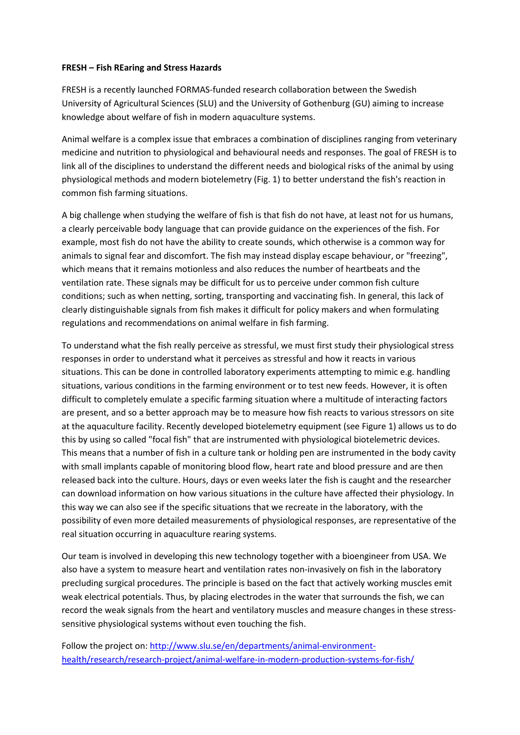## **FRESH – Fish REaring and Stress Hazards**

FRESH is a recently launched FORMAS-funded research collaboration between the Swedish University of Agricultural Sciences (SLU) and the University of Gothenburg (GU) aiming to increase knowledge about welfare of fish in modern aquaculture systems.

Animal welfare is a complex issue that embraces a combination of disciplines ranging from veterinary medicine and nutrition to physiological and behavioural needs and responses. The goal of FRESH is to link all of the disciplines to understand the different needs and biological risks of the animal by using physiological methods and modern biotelemetry (Fig. 1) to better understand the fish's reaction in common fish farming situations.

A big challenge when studying the welfare of fish is that fish do not have, at least not for us humans, a clearly perceivable body language that can provide guidance on the experiences of the fish. For example, most fish do not have the ability to create sounds, which otherwise is a common way for animals to signal fear and discomfort. The fish may instead display escape behaviour, or "freezing", which means that it remains motionless and also reduces the number of heartbeats and the ventilation rate. These signals may be difficult for us to perceive under common fish culture conditions; such as when netting, sorting, transporting and vaccinating fish. In general, this lack of clearly distinguishable signals from fish makes it difficult for policy makers and when formulating regulations and recommendations on animal welfare in fish farming.

To understand what the fish really perceive as stressful, we must first study their physiological stress responses in order to understand what it perceives as stressful and how it reacts in various situations. This can be done in controlled laboratory experiments attempting to mimic e.g. handling situations, various conditions in the farming environment or to test new feeds. However, it is often difficult to completely emulate a specific farming situation where a multitude of interacting factors are present, and so a better approach may be to measure how fish reacts to various stressors on site at the aquaculture facility. Recently developed biotelemetry equipment (see Figure 1) allows us to do this by using so called "focal fish" that are instrumented with physiological biotelemetric devices. This means that a number of fish in a culture tank or holding pen are instrumented in the body cavity with small implants capable of monitoring blood flow, heart rate and blood pressure and are then released back into the culture. Hours, days or even weeks later the fish is caught and the researcher can download information on how various situations in the culture have affected their physiology. In this way we can also see if the specific situations that we recreate in the laboratory, with the possibility of even more detailed measurements of physiological responses, are representative of the real situation occurring in aquaculture rearing systems.

Our team is involved in developing this new technology together with a bioengineer from USA. We also have a system to measure heart and ventilation rates non-invasively on fish in the laboratory precluding surgical procedures. The principle is based on the fact that actively working muscles emit weak electrical potentials. Thus, by placing electrodes in the water that surrounds the fish, we can record the weak signals from the heart and ventilatory muscles and measure changes in these stresssensitive physiological systems without even touching the fish.

Follow the project on: [http://www.slu.se/en/departments/animal-environment](http://www.slu.se/en/departments/animal-environment-health/research/research-project/animal-welfare-in-modern-production-systems-for-fish/)[health/research/research-project/animal-welfare-in-modern-production-systems-for-fish/](http://www.slu.se/en/departments/animal-environment-health/research/research-project/animal-welfare-in-modern-production-systems-for-fish/)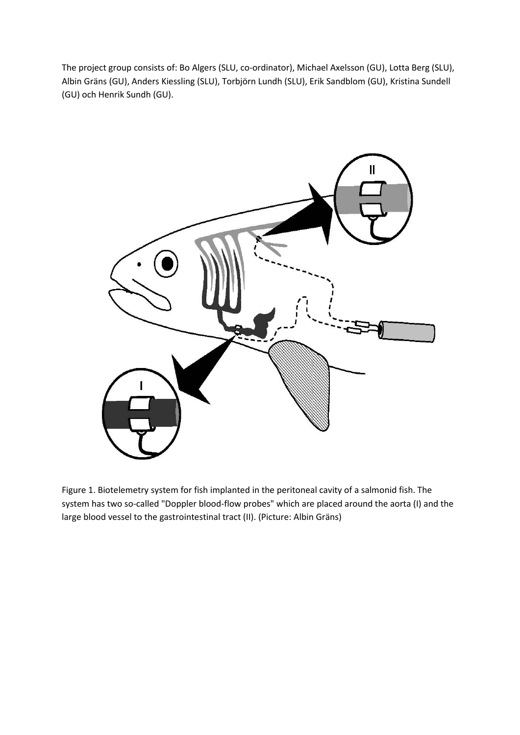The project group consists of: Bo Algers (SLU, co-ordinator), Michael Axelsson (GU), Lotta Berg (SLU), Albin Gräns (GU), Anders Kiessling (SLU), Torbjörn Lundh (SLU), Erik Sandblom (GU), Kristina Sundell (GU) och Henrik Sundh (GU).



Figure 1. Biotelemetry system for fish implanted in the peritoneal cavity of a salmonid fish. The system has two so-called "Doppler blood-flow probes" which are placed around the aorta (I) and the large blood vessel to the gastrointestinal tract (II). (Picture: Albin Gräns)